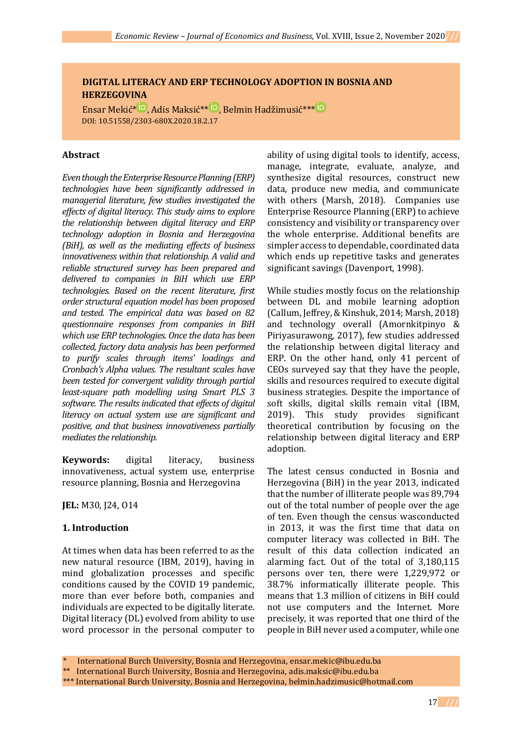# **DIGITAL LITERACY AND ERP TECHNOLOGY ADOPTION IN BOSNIA AND HERZEGOVINA**

Ensar Mekić<sup>[\\*](https://orcid.org/0000-0003-0454-7372)iD</sup>, Adis Maksić<sup>\*\* iD</sup>, Belmin Hadžimusić<sup>\*\*\* iD</sup> DOI: 10.51558/2303-680X.2020.18.2.17

### **Abstract**

*Even though the Enterprise Resource Planning (ERP) technologies have been significantly addressed in managerial literature, few studies investigated the effects of digital literacy. This study aims to explore the relationship between digital literacy and ERP technology adoption in Bosnia and Herzegovina (BiH), as well as the mediating effects of business innovativeness within that relationship. A valid and reliable structured survey has been prepared and delivered to companies in BiH which use ERP technologies. Based on the recent literature, first order structural equation model has been proposed and tested. The empirical data was based on 82 questionnaire responses from companies in BiH which use ERP technologies. Once the data has been collected, factory data analysis has been performed to purify scales through items' loadings and Cronbach's Alpha values. The resultant scales have been tested for convergent validity through partial least-square path modelling using Smart PLS 3 software. The results indicated that effects of digital literacy on actual system use are significant and positive, and that business innovativeness partially mediates the relationship.*

**Keywords:** digital literacy, business innovativeness, actual system use, enterprise resource planning, Bosnia and Herzegovina

**JEL:** M30, J24, O14

## **1. Introduction**

At times when data has been referred to as the new natural resource (IBM, 2019), having in mind globalization processes and specific conditions caused by the COVID 19 pandemic, more than ever before both, companies and individuals are expected to be digitally literate. Digital literacy (DL) evolved from ability to use word processor in the personal computer to ability of using digital tools to identify, access, manage, integrate, evaluate, analyze, and synthesize digital resources, construct new data, produce new media, and communicate with others (Marsh, 2018). Companies use Enterprise Resource Planning (ERP) to achieve consistency and visibility or transparency over the whole enterprise. Additional benefits are simpler access to dependable, coordinated data which ends up repetitive tasks and generates significant savings (Davenport, 1998).

While studies mostly focus on the relationship between DL and mobile learning adoption (Callum, Jeffrey, & Kinshuk, 2014; Marsh, 2018) and technology overall (Amornkitpinyo & Piriyasurawong, 2017), few studies addressed the relationship between digital literacy and ERP. On the other hand, only 41 percent of CEOs surveyed say that they have the people, skills and resources required to execute digital business strategies. Despite the importance of soft skills, digital skills remain vital (IBM, 2019). This study provides significant theoretical contribution by focusing on the relationship between digital literacy and ERP adoption.

The latest census conducted in Bosnia and Herzegovina (BiH) in the year 2013, indicated that the number of illiterate people was 89,794 out of the total number of people over the age of ten. Even though the census wasconducted in 2013, it was the first time that data on computer literacy was collected in BiH. The result of this data collection indicated an alarming fact. Out of the total of 3,180,115 persons over ten, there were 1,229,972 or 38.7% informatically illiterate people. This means that 1.3 million of citizens in BiH could not use computers and the Internet. More precisely, it was reported that one third of the people in BiH never used a computer, while one

International Burch University, Bosnia and Herzegovina, ensar.mekic@ibu.edu.ba

<sup>\*\*</sup> International Burch University, Bosnia and Herzegovina, adis.maksic@ibu.edu.ba

<sup>\*\*\*</sup> International Burch University, Bosnia and Herzegovina, belmin.hadzimusic@hotmail.com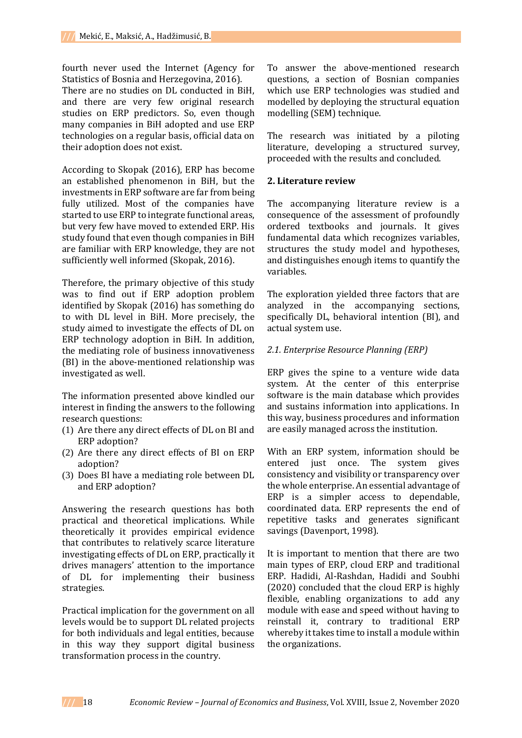fourth never used the Internet (Agency for Statistics of Bosnia and Herzegovina, 2016).

There are no studies on DL conducted in BiH, and there are very few original research studies on ERP predictors. So, even though many companies in BiH adopted and use ERP technologies on a regular basis, official data on their adoption does not exist.

According to Skopak (2016), ERP has become an established phenomenon in BiH, but the investments in ERP software are far from being fully utilized. Most of the companies have started to use ERP to integrate functional areas, but very few have moved to extended ERP. His study found that even though companies in BiH are familiar with ERP knowledge, they are not sufficiently well informed (Skopak, 2016).

Therefore, the primary objective of this study was to find out if ERP adoption problem identified by Skopak (2016) has something do to with DL level in BiH. More precisely, the study aimed to investigate the effects of DL on ERP technology adoption in BiH. In addition, the mediating role of business innovativeness (BI) in the above-mentioned relationship was investigated as well.

The information presented above kindled our interest in finding the answers to the following research questions:

- (1) Are there any direct effects of DL on BI and ERP adoption?
- (2) Are there any direct effects of BI on ERP adoption?
- (3) Does BI have a mediating role between DL and ERP adoption?

Answering the research questions has both practical and theoretical implications. While theoretically it provides empirical evidence that contributes to relatively scarce literature investigating effects of DL on ERP, practically it drives managers' attention to the importance of DL for implementing their business strategies.

Practical implication for the government on all levels would be to support DL related projects for both individuals and legal entities, because in this way they support digital business transformation process in the country.

To answer the above-mentioned research questions, a section of Bosnian companies which use ERP technologies was studied and modelled by deploying the structural equation modelling (SEM) technique.

The research was initiated by a piloting literature, developing a structured survey, proceeded with the results and concluded.

### **2. Literature review**

The accompanying literature review is a consequence of the assessment of profoundly ordered textbooks and journals. It gives fundamental data which recognizes variables, structures the study model and hypotheses, and distinguishes enough items to quantify the variables.

The exploration yielded three factors that are analyzed in the accompanying sections, specifically DL, behavioral intention (BI), and actual system use.

### *2.1. Enterprise Resource Planning (ERP)*

ERP gives the spine to a venture wide data system. At the center of this enterprise software is the main database which provides and sustains information into applications. In this way, business procedures and information are easily managed across the institution.

With an ERP system, information should be entered just once. The system gives consistency and visibility or transparency over the whole enterprise. An essential advantage of ERP is a simpler access to dependable, coordinated data. ERP represents the end of repetitive tasks and generates significant savings (Davenport, 1998).

It is important to mention that there are two main types of ERP, cloud ERP and traditional ERP. Hadidi, Al-Rashdan, Hadidi and Soubhi (2020) concluded that the cloud ERP is highly flexible, enabling organizations to add any module with ease and speed without having to reinstall it, contrary to traditional ERP whereby it takes time to install a module within the organizations.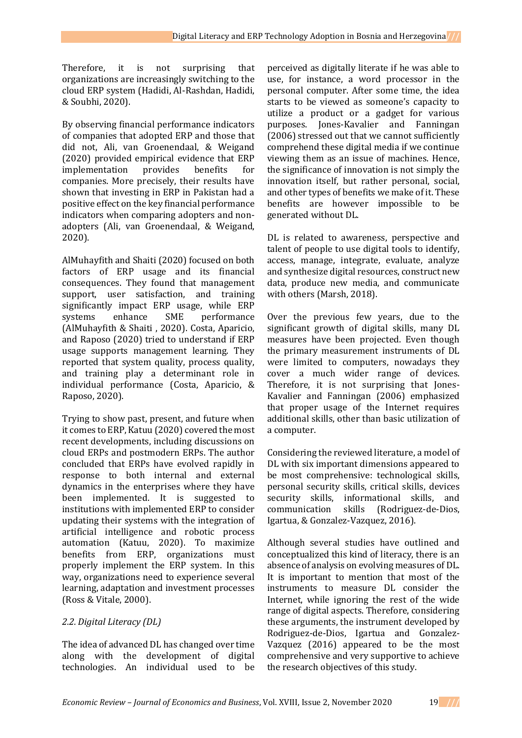Therefore, it is not surprising that organizations are increasingly switching to the cloud ERP system (Hadidi, Al-Rashdan, Hadidi, & Soubhi, 2020).

By observing financial performance indicators of companies that adopted ERP and those that did not, Ali, van Groenendaal, & Weigand (2020) provided empirical evidence that ERP implementation provides benefits for companies. More precisely, their results have shown that investing in ERP in Pakistan had a positive effect on the key financial performance indicators when comparing adopters and nonadopters (Ali, van Groenendaal, & Weigand, 2020).

AlMuhayfith and Shaiti (2020) focused on both factors of ERP usage and its financial consequences. They found that management support, user satisfaction, and training significantly impact ERP usage, while ERP systems enhance SME performance (AlMuhayfith & Shaiti , 2020). Costa, Aparicio, and Raposo (2020) tried to understand if ERP usage supports management learning. They reported that system quality, process quality, and training play a determinant role in individual performance (Costa, Aparicio, & Raposo, 2020).

Trying to show past, present, and future when it comes to ERP, Katuu (2020) covered the most recent developments, including discussions on cloud ERPs and postmodern ERPs. The author concluded that ERPs have evolved rapidly in response to both internal and external dynamics in the enterprises where they have been implemented. It is suggested to institutions with implemented ERP to consider updating their systems with the integration of artificial intelligence and robotic process automation (Katuu, 2020). To maximize benefits from ERP, organizations must properly implement the ERP system. In this way, organizations need to experience several learning, adaptation and investment processes (Ross & Vitale, 2000).

# *2.2. Digital Literacy (DL)*

The idea of advanced DL has changed over time along with the development of digital technologies. An individual used to be

perceived as digitally literate if he was able to use, for instance, a word processor in the personal computer. After some time, the idea starts to be viewed as someone's capacity to utilize a product or a gadget for various purposes. Jones-Kavalier and Fanningan (2006) stressed out that we cannot sufficiently comprehend these digital media if we continue viewing them as an issue of machines. Hence, the significance of innovation is not simply the innovation itself, but rather personal, social, and other types of benefits we make of it. These benefits are however impossible to be generated without DL.

DL is related to awareness, perspective and talent of people to use digital tools to identify, access, manage, integrate, evaluate, analyze and synthesize digital resources, construct new data, produce new media, and communicate with others (Marsh, 2018).

Over the previous few years, due to the significant growth of digital skills, many DL measures have been projected. Even though the primary measurement instruments of DL were limited to computers, nowadays they cover a much wider range of devices. Therefore, it is not surprising that Jones-Kavalier and Fanningan (2006) emphasized that proper usage of the Internet requires additional skills, other than basic utilization of a computer.

Considering the reviewed literature, a model of DL with six important dimensions appeared to be most comprehensive: technological skills, personal security skills, critical skills, devices security skills, informational skills, and communication skills (Rodriguez-de-Dios, Igartua, & Gonzalez-Vazquez, 2016).

Although several studies have outlined and conceptualized this kind of literacy, there is an absence of analysis on evolving measures of DL. It is important to mention that most of the instruments to measure DL consider the Internet, while ignoring the rest of the wide range of digital aspects. Therefore, considering these arguments, the instrument developed by Rodriguez-de-Dios, Igartua and Gonzalez-Vazquez (2016) appeared to be the most comprehensive and very supportive to achieve the research objectives of this study.

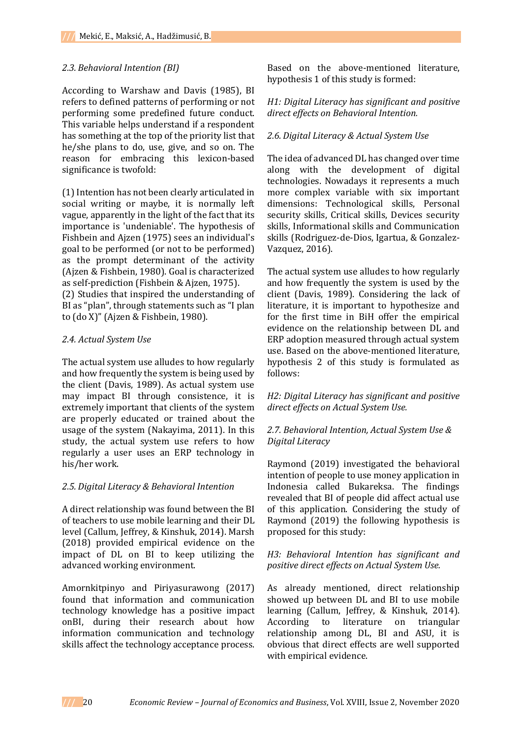### *2.3. Behavioral Intention (BI)*

According to Warshaw and Davis (1985), BI refers to defined patterns of performing or not performing some predefined future conduct. This variable helps understand if a respondent has something at the top of the priority list that he/she plans to do, use, give, and so on. The reason for embracing this lexicon-based significance is twofold:

(1) Intention has not been clearly articulated in social writing or maybe, it is normally left vague, apparently in the light of the fact that its importance is 'undeniable'. The hypothesis of Fishbein and Ajzen (1975) sees an individual's goal to be performed (or not to be performed) as the prompt determinant of the activity (Ajzen & Fishbein, 1980). Goal is characterized as self-prediction (Fishbein & Ajzen, 1975).

(2) Studies that inspired the understanding of BI as "plan", through statements such as "I plan to (do X)" (Ajzen & Fishbein, 1980).

### *2.4. Actual System Use*

The actual system use alludes to how regularly and how frequently the system is being used by the client (Davis, 1989). As actual system use may impact BI through consistence, it is extremely important that clients of the system are properly educated or trained about the usage of the system (Nakayima, 2011). In this study, the actual system use refers to how regularly a user uses an ERP technology in his/her work.

#### *2.5. Digital Literacy & Behavioral Intention*

A direct relationship was found between the BI of teachers to use mobile learning and their DL level (Callum, Jeffrey, & Kinshuk, 2014). Marsh (2018) provided empirical evidence on the impact of DL on BI to keep utilizing the advanced working environment.

Amornkitpinyo and Piriyasurawong (2017) found that information and communication technology knowledge has a positive impact onBI, during their research about how information communication and technology skills affect the technology acceptance process.

Based on the above-mentioned literature, hypothesis 1 of this study is formed:

### *H1: Digital Literacy has significant and positive direct effects on Behavioral Intention.*

## *2.6. Digital Literacy & Actual System Use*

The idea of advanced DL has changed over time along with the development of digital technologies. Nowadays it represents a much more complex variable with six important dimensions: Technological skills, Personal security skills, Critical skills, Devices security skills, Informational skills and Communication skills (Rodriguez-de-Dios, Igartua, & Gonzalez-Vazquez, 2016).

The actual system use alludes to how regularly and how frequently the system is used by the client (Davis, 1989). Considering the lack of literature, it is important to hypothesize and for the first time in BiH offer the empirical evidence on the relationship between DL and ERP adoption measured through actual system use. Based on the above-mentioned literature, hypothesis 2 of this study is formulated as follows:

*H2: Digital Literacy has significant and positive direct effects on Actual System Use.*

## *2.7. Behavioral Intention, Actual System Use & Digital Literacy*

Raymond (2019) investigated the behavioral intention of people to use money application in Indonesia called Bukareksa. The findings revealed that BI of people did affect actual use of this application. Considering the study of Raymond (2019) the following hypothesis is proposed for this study:

*H3: Behavioral Intention has significant and positive direct effects on Actual System Use.*

As already mentioned, direct relationship showed up between DL and BI to use mobile learning (Callum, Jeffrey, & Kinshuk, 2014). According to literature on triangular relationship among DL, BI and ASU, it is obvious that direct effects are well supported with empirical evidence.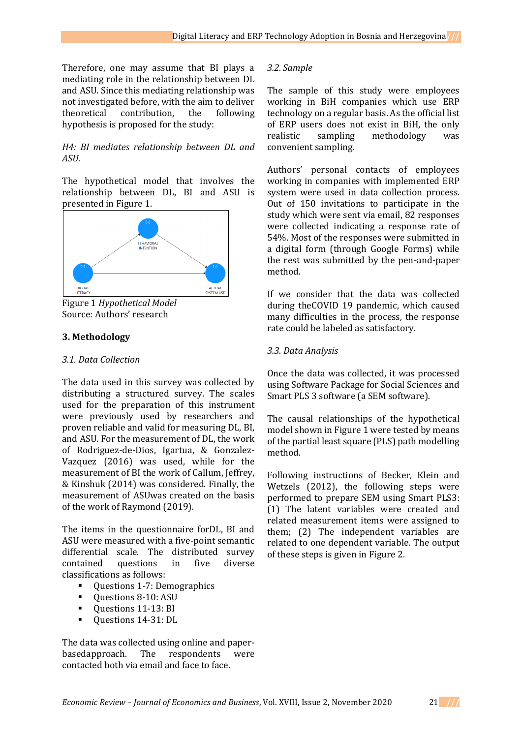Therefore, one may assume that BI plays a mediating role in the relationship between DL and ASU. Since this mediating relationship was not investigated before, with the aim to deliver theoretical contribution, the following hypothesis is proposed for the study:

#### *H4: BI mediates relationship between DL and ASU.*

The hypothetical model that involves the relationship between DL, BI and ASU is presented in Figure 1.



Figure 1 *Hypothetical Model* Source: Authors' research

### **3. Methodology**

#### *3.1. Data Collection*

The data used in this survey was collected by distributing a structured survey. The scales used for the preparation of this instrument were previously used by researchers and proven reliable and valid for measuring DL, BI, and ASU. For the measurement of DL, the work of Rodriguez-de-Dios, Igartua, & Gonzalez-Vazquez (2016) was used, while for the measurement of BI the work of Callum, Jeffrey, & Kinshuk (2014) was considered. Finally, the measurement of ASUwas created on the basis of the work of Raymond (2019).

The items in the questionnaire forDL, BI and ASU were measured with a five-point semantic differential scale. The distributed survey contained questions in five diverse classifications as follows:

- Questions 1-7: Demographics
- Questions 8-10: ASU
- **Questions 11-13: BI**
- **U** Ouestions 14-31: DL

The data was collected using online and paperbasedapproach. The respondents were contacted both via email and face to face.

#### *3.2. Sample*

The sample of this study were employees working in BiH companies which use ERP technology on a regular basis. As the official list of ERP users does not exist in BiH, the only realistic sampling methodology was convenient sampling.

Authors' personal contacts of employees working in companies with implemented ERP system were used in data collection process. Out of 150 invitations to participate in the study which were sent via email, 82 responses were collected indicating a response rate of 54%. Most of the responses were submitted in a digital form (through Google Forms) while the rest was submitted by the pen-and-paper method.

If we consider that the data was collected during theCOVID 19 pandemic, which caused many difficulties in the process, the response rate could be labeled as satisfactory.

#### *3.3. Data Analysis*

Once the data was collected, it was processed using Software Package for Social Sciences and Smart PLS 3 software (a SEM software).

The causal relationships of the hypothetical model shown in Figure 1 were tested by means of the partial least square (PLS) path modelling method.

Following instructions of Becker, Klein and Wetzels (2012), the following steps were performed to prepare SEM using Smart PLS3: (1) The latent variables were created and related measurement items were assigned to them; (2) The independent variables are related to one dependent variable. The output of these steps is given in Figure 2.

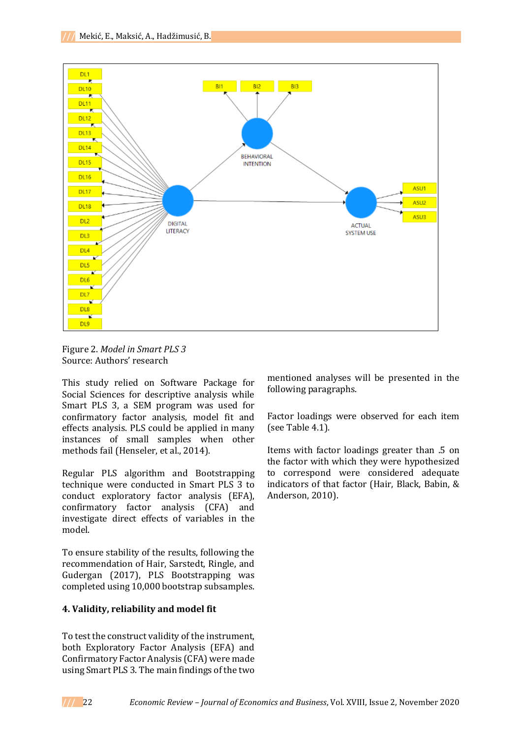

Figure 2. *Model in Smart PLS 3* Source: Authors' research

This study relied on Software Package for Social Sciences for descriptive analysis while Smart PLS 3, a SEM program was used for confirmatory factor analysis, model fit and effects analysis. PLS could be applied in many instances of small samples when other methods fail (Henseler, et al., 2014).

Regular PLS algorithm and Bootstrapping technique were conducted in Smart PLS 3 to conduct exploratory factor analysis (EFA), confirmatory factor analysis (CFA) and investigate direct effects of variables in the model.

To ensure stability of the results, following the recommendation of Hair, Sarstedt, Ringle, and Gudergan (2017), PLS Bootstrapping was completed using 10,000 bootstrap subsamples.

## **4. Validity, reliability and model fit**

To test the construct validity of the instrument, both Exploratory Factor Analysis (EFA) and Confirmatory Factor Analysis (CFA) were made using Smart PLS 3. The main findings of the two

mentioned analyses will be presented in the following paragraphs.

Factor loadings were observed for each item (see Table 4.1).

Items with factor loadings greater than .5 on the factor with which they were hypothesized to correspond were considered adequate indicators of that factor (Hair, Black, Babin, & Anderson, 2010).

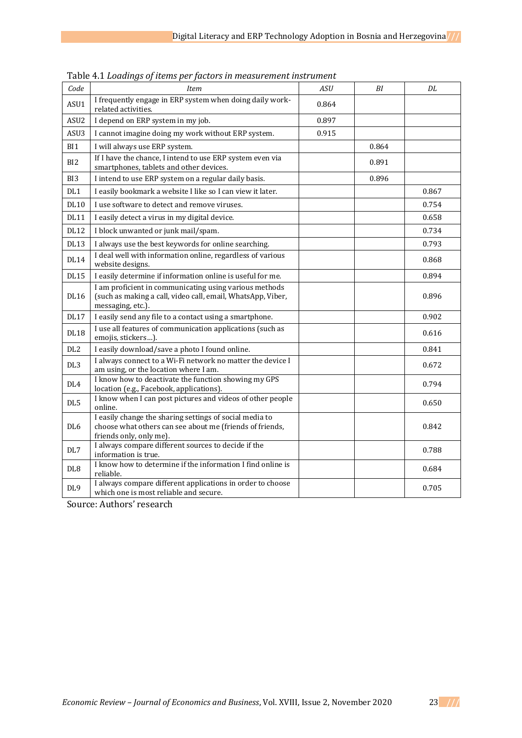| Code             | <b>Item</b>                                                                                                                                    | <b>ASU</b> | BI    | DL    |
|------------------|------------------------------------------------------------------------------------------------------------------------------------------------|------------|-------|-------|
| ASU1             | I frequently engage in ERP system when doing daily work-<br>related activities.                                                                | 0.864      |       |       |
| ASU <sub>2</sub> | I depend on ERP system in my job.                                                                                                              | 0.897      |       |       |
| ASU <sub>3</sub> | I cannot imagine doing my work without ERP system.                                                                                             | 0.915      |       |       |
| BI1              | I will always use ERP system.                                                                                                                  |            | 0.864 |       |
| B <sub>I2</sub>  | If I have the chance, I intend to use ERP system even via<br>smartphones, tablets and other devices.                                           |            | 0.891 |       |
| BI <sub>3</sub>  | I intend to use ERP system on a regular daily basis.                                                                                           |            | 0.896 |       |
| DL1              | I easily bookmark a website I like so I can view it later.                                                                                     |            |       | 0.867 |
| <b>DL10</b>      | I use software to detect and remove viruses.                                                                                                   |            |       | 0.754 |
| <b>DL11</b>      | I easily detect a virus in my digital device.                                                                                                  |            |       | 0.658 |
| <b>DL12</b>      | I block unwanted or junk mail/spam.                                                                                                            |            |       | 0.734 |
| <b>DL13</b>      | I always use the best keywords for online searching.                                                                                           |            |       | 0.793 |
| <b>DL14</b>      | I deal well with information online, regardless of various<br>website designs.                                                                 |            |       | 0.868 |
| <b>DL15</b>      | I easily determine if information online is useful for me.                                                                                     |            |       | 0.894 |
| <b>DL16</b>      | I am proficient in communicating using various methods<br>(such as making a call, video call, email, WhatsApp, Viber,<br>messaging, etc.).     |            |       | 0.896 |
| <b>DL17</b>      | I easily send any file to a contact using a smartphone.                                                                                        |            |       | 0.902 |
| <b>DL18</b>      | I use all features of communication applications (such as<br>emojis, stickers).                                                                |            |       | 0.616 |
| DL <sub>2</sub>  | I easily download/save a photo I found online.                                                                                                 |            |       | 0.841 |
| DL <sub>3</sub>  | I always connect to a Wi-Fi network no matter the device I<br>am using, or the location where I am.                                            |            |       | 0.672 |
| DL <sub>4</sub>  | I know how to deactivate the function showing my GPS<br>location (e.g., Facebook, applications).                                               |            |       | 0.794 |
| DL5              | I know when I can post pictures and videos of other people<br>online.                                                                          |            |       | 0.650 |
| DL <sub>6</sub>  | I easily change the sharing settings of social media to<br>choose what others can see about me (friends of friends,<br>friends only, only me). |            |       | 0.842 |
| DL7              | I always compare different sources to decide if the<br>information is true.                                                                    |            |       | 0.788 |
| DL <sub>8</sub>  | I know how to determine if the information I find online is<br>reliable.                                                                       |            |       | 0.684 |
| DL <sub>9</sub>  | I always compare different applications in order to choose<br>which one is most reliable and secure.                                           |            |       | 0.705 |

Table 4.1 *Loadings of items per factors in measurement instrument*

Source: Authors' research

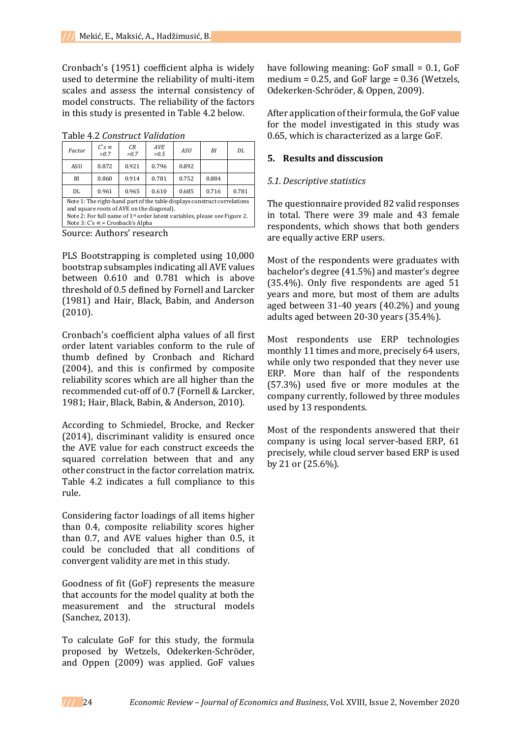Cronbach's (1951) coefficient alpha is widely used to determine the reliability of multi-item scales and assess the internal consistency of model constructs. The reliability of the factors in this study is presented in Table 4.2 below.

Table 4.2 *Construct Validation*

| Factor                                                                                                                                                                                                                                                       | $C's \propto$<br>>0.7 | CR<br>>0.7 | <b>AVE</b><br>>0.5 | <b>ASU</b> | ΒI    | DI.   |
|--------------------------------------------------------------------------------------------------------------------------------------------------------------------------------------------------------------------------------------------------------------|-----------------------|------------|--------------------|------------|-------|-------|
| ASU                                                                                                                                                                                                                                                          | 0.872                 | 0.921      | 0.796              | 0.892      |       |       |
| BI                                                                                                                                                                                                                                                           | 0.860                 | 0.914      | 0.781              | 0.752      | 0.884 |       |
| DL                                                                                                                                                                                                                                                           | 0.961                 | 0.965      | 0.610              | 0.685      | 0.716 | 0.781 |
| Note 1: The right-hand part of the table displays construct correlations<br>and square roots of AVE on the diagonal).<br>Note 2: For full name of 1 <sup>st</sup> order latent variables, please see Figure 2.<br>Note $3: C's \propto C$ = Cronbach's Alpha |                       |            |                    |            |       |       |
| $C_{\text{source}}$ $\lambda$ -th and measure                                                                                                                                                                                                                |                       |            |                    |            |       |       |

Source: Authors' research

PLS Bootstrapping is completed using 10,000 bootstrap subsamples indicating all AVE values between 0.610 and 0.781 which is above threshold of 0.5 defined by Fornell and Larcker (1981) and Hair, Black, Babin, and Anderson (2010).

Cronbach's coefficient alpha values of all first order latent variables conform to the rule of thumb defined by Cronbach and Richard (2004), and this is confirmed by composite reliability scores which are all higher than the recommended cut-off of 0.7 (Fornell & Larcker, 1981; Hair, Black, Babin, & Anderson, 2010).

According to Schmiedel, Brocke, and Recker (2014), discriminant validity is ensured once the AVE value for each construct exceeds the squared correlation between that and any other construct in the factor correlation matrix. Table 4.2 indicates a full compliance to this rule.

Considering factor loadings of all items higher than 0.4, composite reliability scores higher than 0.7, and AVE values higher than 0.5, it could be concluded that all conditions of convergent validity are met in this study.

Goodness of fit (GoF) represents the measure that accounts for the model quality at both the measurement and the structural models (Sanchez, 2013).

To calculate GoF for this study, the formula proposed by Wetzels, Odekerken-Schröder, and Oppen (2009) was applied. GoF values

have following meaning: GoF small = 0.1, GoF medium =  $0.25$ , and GoF large =  $0.36$  (Wetzels, Odekerken-Schröder, & Oppen, 2009).

After application of their formula, the GoF value for the model investigated in this study was 0.65, which is characterized as a large GoF.

# **5. Results and disscusion**

### *5.1. Descriptive statistics*

The questionnaire provided 82 valid responses in total. There were 39 male and 43 female respondents, which shows that both genders are equally active ERP users.

Most of the respondents were graduates with bachelor's degree (41.5%) and master's degree (35.4%). Only five respondents are aged 51 years and more, but most of them are adults aged between 31-40 years (40.2%) and young adults aged between 20-30 years (35.4%).

Most respondents use ERP technologies monthly 11 times and more, precisely 64 users, while only two responded that they never use ERP. More than half of the respondents (57.3%) used five or more modules at the company currently, followed by three modules used by 13 respondents.

Most of the respondents answered that their company is using local server-based ERP, 61 precisely, while cloud server based ERP is used by 21 or (25.6%).

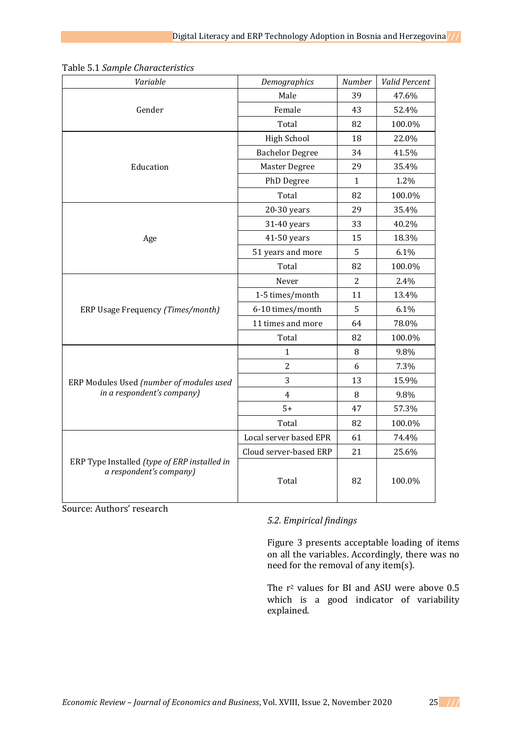| Variable                                                                | Demographics           | Number         | Valid Percent |
|-------------------------------------------------------------------------|------------------------|----------------|---------------|
|                                                                         | Male                   | 39             | 47.6%         |
| Gender                                                                  | Female                 | 43             | 52.4%         |
|                                                                         | Total                  | 82             | 100.0%        |
|                                                                         | <b>High School</b>     | 18             | 22.0%         |
|                                                                         | <b>Bachelor Degree</b> | 34             | 41.5%         |
| Education                                                               | Master Degree          | 29             | 35.4%         |
|                                                                         | PhD Degree             | $\mathbf{1}$   | 1.2%          |
|                                                                         | Total                  | 82             | 100.0%        |
|                                                                         | $20-30$ years          | 29             | 35.4%         |
|                                                                         | 31-40 years            | 33             | 40.2%         |
| Age                                                                     | 41-50 years            | 15             | 18.3%         |
|                                                                         | 51 years and more      | 5              | 6.1%          |
|                                                                         | Total                  | 82             | 100.0%        |
|                                                                         | Never                  | $\overline{2}$ | 2.4%          |
|                                                                         | 1-5 times/month        | 11             | 13.4%         |
| ERP Usage Frequency (Times/month)                                       | 6-10 times/month       | 5              | 6.1%          |
|                                                                         | 11 times and more      | 64             | 78.0%         |
|                                                                         | Total                  | 82             | 100.0%        |
|                                                                         | $\mathbf{1}$           | 8              | 9.8%          |
|                                                                         | $\overline{2}$         | 6              | 7.3%          |
| ERP Modules Used (number of modules used                                | 3                      | 13             | 15.9%         |
| in a respondent's company)                                              | $\overline{4}$         | 8              | 9.8%          |
|                                                                         | $5+$                   | 47             | 57.3%         |
|                                                                         | Total                  | 82             | 100.0%        |
|                                                                         | Local server based EPR | 61             | 74.4%         |
|                                                                         | Cloud server-based ERP | 21             | 25.6%         |
| ERP Type Installed (type of ERP installed in<br>a respondent's company) | Total                  | 82             | 100.0%        |

Table 5.1 *Sample Characteristics*

Source: Authors' research

# *5.2. Empirical findings*

Figure 3 presents acceptable loading of items on all the variables. Accordingly, there was no need for the removal of any item(s).

The r<sup>2</sup> values for BI and ASU were above 0.5 which is a good indicator of variability explained.

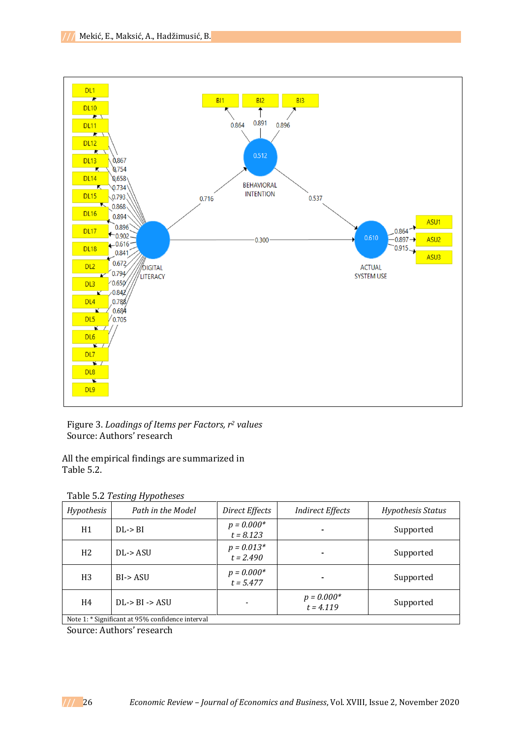

Figure 3. *Loadings of Items per Factors, r<sup>2</sup> values* Source: Authors' research

All the empirical findings are summarized in Table 5.2.

| Table 5.2 Testing Hypotheses |
|------------------------------|
|                              |

| Hypothesis                                       | Path in the Model    | Direct Effects              | <i>Indirect Effects</i>     | Hypothesis Status |  |
|--------------------------------------------------|----------------------|-----------------------------|-----------------------------|-------------------|--|
| H1                                               | DL > BI              | $p = 0.000*$<br>$t = 8.123$ |                             | Supported         |  |
| H <sub>2</sub>                                   | DL > ASU             | $p = 0.013*$<br>$t = 2.490$ |                             | Supported         |  |
| H <sub>3</sub>                                   | $BI \rightarrow ASU$ | $p = 0.000*$<br>$t = 5.477$ |                             | Supported         |  |
| H4                                               | $DL > BI$ -> ASU     |                             | $p = 0.000*$<br>$t = 4.119$ | Supported         |  |
| Note 1: * Significant at 95% confidence interval |                      |                             |                             |                   |  |

Source: Authors' research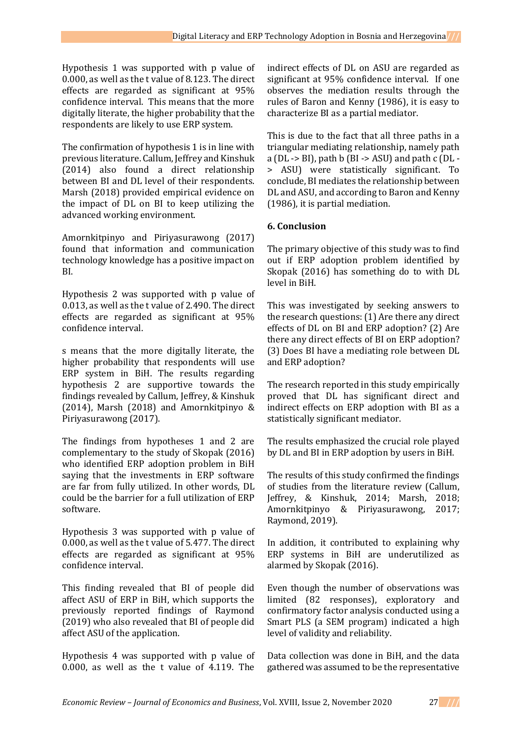Hypothesis 1 was supported with p value of 0.000, as well as the t value of 8.123. The direct effects are regarded as significant at 95% confidence interval. This means that the more digitally literate, the higher probability that the respondents are likely to use ERP system.

The confirmation of hypothesis 1 is in line with previous literature. Callum, Jeffrey and Kinshuk (2014) also found a direct relationship between BI and DL level of their respondents. Marsh (2018) provided empirical evidence on the impact of DL on BI to keep utilizing the advanced working environment.

Amornkitpinyo and Piriyasurawong (2017) found that information and communication technology knowledge has a positive impact on BI.

Hypothesis 2 was supported with p value of 0.013, as well as the t value of 2.490. The direct effects are regarded as significant at 95% confidence interval.

s means that the more digitally literate, the higher probability that respondents will use ERP system in BiH. The results regarding hypothesis 2 are supportive towards the findings revealed by Callum, Jeffrey, & Kinshuk (2014), Marsh (2018) and Amornkitpinyo & Piriyasurawong (2017).

The findings from hypotheses 1 and 2 are complementary to the study of Skopak (2016) who identified ERP adoption problem in BiH saying that the investments in ERP software are far from fully utilized. In other words, DL could be the barrier for a full utilization of ERP software.

Hypothesis 3 was supported with p value of 0.000, as well as the t value of 5.477. The direct effects are regarded as significant at 95% confidence interval.

This finding revealed that BI of people did affect ASU of ERP in BiH, which supports the previously reported findings of Raymond (2019) who also revealed that BI of people did affect ASU of the application.

Hypothesis 4 was supported with p value of 0.000, as well as the t value of 4.119. The

indirect effects of DL on ASU are regarded as significant at 95% confidence interval. If one observes the mediation results through the rules of Baron and Kenny (1986), it is easy to characterize BI as a partial mediator.

This is due to the fact that all three paths in a triangular mediating relationship, namely path a ( $DL \rightarrow BI$ ), path b ( $BI \rightarrow ASU$ ) and path c ( $DL \rightarrow$ > ASU) were statistically significant. To conclude, BI mediates the relationship between DL and ASU, and according to Baron and Kenny (1986), it is partial mediation.

## **6. Conclusion**

The primary objective of this study was to find out if ERP adoption problem identified by Skopak (2016) has something do to with DL level in BiH.

This was investigated by seeking answers to the research questions: (1) Are there any direct effects of DL on BI and ERP adoption? (2) Are there any direct effects of BI on ERP adoption? (3) Does BI have a mediating role between DL and ERP adoption?

The research reported in this study empirically proved that DL has significant direct and indirect effects on ERP adoption with BI as a statistically significant mediator.

The results emphasized the crucial role played by DL and BI in ERP adoption by users in BiH.

The results of this study confirmed the findings of studies from the literature review (Callum, Jeffrey, & Kinshuk, 2014; Marsh, 2018; Amornkitpinyo & Piriyasurawong, 2017; Raymond, 2019).

In addition, it contributed to explaining why ERP systems in BiH are underutilized as alarmed by Skopak (2016).

Even though the number of observations was limited (82 responses), exploratory and confirmatory factor analysis conducted using a Smart PLS (a SEM program) indicated a high level of validity and reliability.

Data collection was done in BiH, and the data gathered was assumed to be the representative

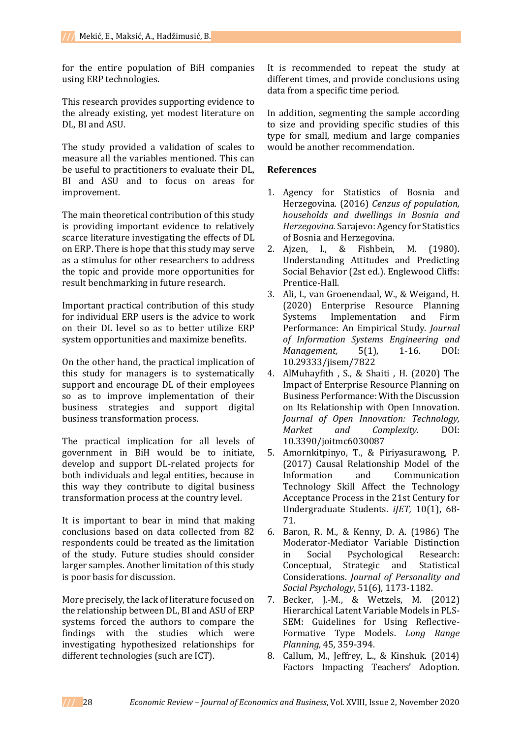for the entire population of BiH companies using ERP technologies.

This research provides supporting evidence to the already existing, yet modest literature on DL, BI and ASU.

The study provided a validation of scales to measure all the variables mentioned. This can be useful to practitioners to evaluate their DL, BI and ASU and to focus on areas for improvement.

The main theoretical contribution of this study is providing important evidence to relatively scarce literature investigating the effects of DL on ERP. There is hope that this study may serve as a stimulus for other researchers to address the topic and provide more opportunities for result benchmarking in future research.

Important practical contribution of this study for individual ERP users is the advice to work on their DL level so as to better utilize ERP system opportunities and maximize benefits.

On the other hand, the practical implication of this study for managers is to systematically support and encourage DL of their employees so as to improve implementation of their business strategies and support digital business transformation process.

The practical implication for all levels of government in BiH would be to initiate, develop and support DL-related projects for both individuals and legal entities, because in this way they contribute to digital business transformation process at the country level.

It is important to bear in mind that making conclusions based on data collected from 82 respondents could be treated as the limitation of the study. Future studies should consider larger samples. Another limitation of this study is poor basis for discussion.

More precisely, the lack of literature focused on the relationship between DL, BI and ASU of ERP systems forced the authors to compare the findings with the studies which were investigating hypothesized relationships for different technologies (such are ICT).

It is recommended to repeat the study at different times, and provide conclusions using data from a specific time period.

In addition, segmenting the sample according to size and providing specific studies of this type for small, medium and large companies would be another recommendation.

## **References**

- 1. Agency for Statistics of Bosnia and Herzegovina. (2016) *Cenzus of population, households and dwellings in Bosnia and Herzegovina.* Sarajevo: Agency for Statistics of Bosnia and Herzegovina.
- 2. Ajzen, I., & Fishbein, M. (1980). Understanding Attitudes and Predicting Social Behavior (2st ed.). Englewood Cliffs: Prentice-Hall.
- 3. Ali, I., van Groenendaal, W., & Weigand, H. (2020) Enterprise Resource Planning Systems Implementation and Firm Performance: An Empirical Study. *Journal of Information Systems Engineering and Management,* 5(1), 1-16. DOI: 10.29333/jisem/7822
- 4. AlMuhayfith , S., & Shaiti , H. (2020) The Impact of Enterprise Resource Planning on Business Performance: With the Discussion on Its Relationship with Open Innovation. *Journal of Open Innovation: Technology, Market and Complexity*. DOI: 10.3390/joitmc6030087
- 5. Amornkitpinyo, T., & Piriyasurawong, P. (2017) Causal Relationship Model of the Information and Communication Technology Skill Affect the Technology Acceptance Process in the 21st Century for Undergraduate Students. *iJET,* 10(1), 68- 71.
- 6. Baron, R. M., & Kenny, D. A. (1986) The Moderator-Mediator Variable Distinction in Social Psychological Research: Conceptual, Strategic and Statistical Considerations. *Journal of Personality and Social Psychology*, 51(6), 1173-1182.
- 7. Becker, J.-M., & Wetzels, M. (2012) Hierarchical Latent Variable Models in PLS-SEM: Guidelines for Using Reflective-Formative Type Models. *Long Range Planning,* 45*,* 359-394.
- 8. Callum, M., Jeffrey, L., & Kinshuk. (2014) Factors Impacting Teachers' Adoption.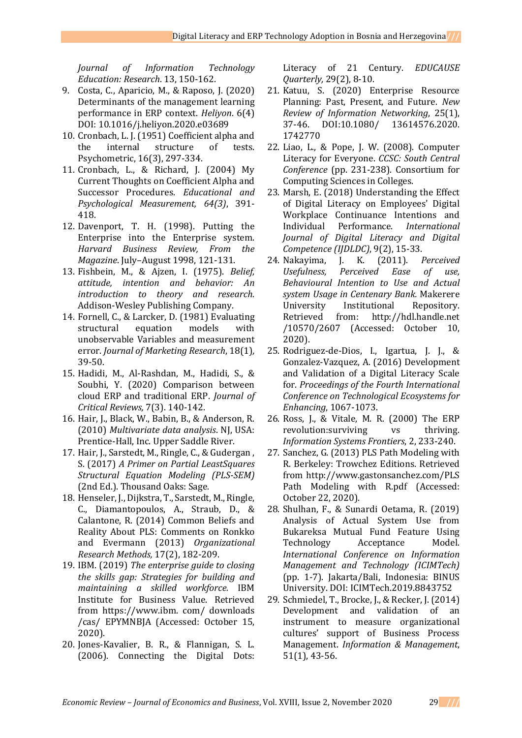*Journal of Information Technology Education: Research*. 13, 150-162.

- 9. Costa, C., Aparicio, M., & Raposo, J. (2020) Determinants of the management learning performance in ERP context. *Heliyon*. 6(4) DOI: 10.1016/j.heliyon.2020.e03689
- 10. Cronbach, L. J. (1951) Coefficient alpha and the internal structure of tests. Psychometric, 16(3), 297-334.
- 11. Cronbach, L., & Richard, J. (2004) My Current Thoughts on Coefficient Alpha and Successor Procedures. *Educational and Psychological Measurement, 64(3)*, 391- 418.
- 12. Davenport, T. H. (1998). Putting the Enterprise into the Enterprise system. *Harvard Business Review, From the Magazine*. July–August 1998, 121-131.
- 13. Fishbein, M., & Ajzen, I. (1975). *Belief, attitude, intention and behavior: An introduction to theory and research.* Addison-Wesley Publishing Company.
- 14. Fornell, C., & Larcker, D. (1981) Evaluating structural equation models with unobservable Variables and measurement error. *Journal of Marketing Research*, 18(1)*,*  39-50.
- 15. Hadidi, M., Al-Rashdan, M., Hadidi, S., & Soubhi, Y. (2020) Comparison between cloud ERP and traditional ERP. *Journal of Critical Reviews,* 7(3). 140-142.
- 16. Hair, J., Black, W., Babin, B., & Anderson, R. (2010) *Multivariate data analysis*. NJ, USA: Prentice-Hall, Inc. Upper Saddle River.
- 17. Hair, J., Sarstedt, M., Ringle, C., & Gudergan , S. (2017) *A Primer on Partial LeastSquares Structural Equation Modeling (PLS-SEM)* (2nd Ed.). Thousand Oaks: Sage.
- 18. Henseler, J., Dijkstra, T., Sarstedt, M., Ringle, C., Diamantopoulos, A., Straub, D., & Calantone, R. (2014) Common Beliefs and Reality About PLS: Comments on Ronkko and Evermann (2013) *Organizational Research Methods,* 17(2), 182-209.
- 19. IBM. (2019) *The enterprise guide to closing the skills gap: Strategies for building and maintaining a skilled workforce.* IBM Institute for Business Value. Retrieved from https://www.ibm. com/ downloads /cas/ EPYMNBJA (Accessed: October 15, 2020).
- 20. Jones-Kavalier, B. R., & Flannigan, S. L. (2006). Connecting the Digital Dots:

Literacy of 21 Century. *EDUCAUSE Quarterly,* 29(2), 8-10.

- 21. Katuu, S. (2020) Enterprise Resource Planning: Past, Present, and Future. *New Review of Information Networking*, 25(1), 37-46. DOI:10.1080/ 13614576.2020. 1742770
- 22. Liao, L., & Pope, J. W. (2008). Computer Literacy for Everyone. *CCSC: South Central Conference* (pp. 231-238). Consortium for Computing Sciences in Colleges.
- 23. Marsh, E. (2018) Understanding the Effect of Digital Literacy on Employees' Digital Workplace Continuance Intentions and Individual Performance. *International Journal of Digital Literacy and Digital Competence (IJDLDC)*, 9(2), 15-33.
- 24. Nakayima, J. K. (2011). *Perceived Usefulness, Perceived Ease of use, Behavioural Intention to Use and Actual system Usage in Centenary Bank.* Makerere University Institutional Repository. Retrieved from: http://hdl.handle.net /10570/2607 (Accessed: October 10, 2020).
- 25. Rodriguez-de-Dios, I., Igartua, J. J., & Gonzalez-Vazquez, A. (2016) Development and Validation of a Digital Literacy Scale for. *Proceedings of the Fourth International Conference on Technological Ecosystems for Enhancing*, 1067-1073.
- 26. Ross, J., & Vitale, M. R. (2000) The ERP revolution: surviving vs thriving. *Information Systems Frontiers*, 2, 233-240.
- 27. Sanchez, G. (2013) PLS Path Modeling with R. Berkeley: Trowchez Editions. Retrieved from http://www.gastonsanchez.com/PLS Path Modeling with R.pdf (Accessed: October 22, 2020).
- 28. Shulhan, F., & Sunardi Oetama, R. (2019) Analysis of Actual System Use from Bukareksa Mutual Fund Feature Using Technology Acceptance Model. *International Conference on Information Management and Technology (ICIMTech)* (pp. 1-7). Jakarta/Bali, Indonesia: BINUS University. DOI: ICIMTech.2019.8843752
- 29. Schmiedel, T., Brocke, J., & Recker, J. (2014) Development and validation of an instrument to measure organizational cultures' support of Business Process Management. *Information & Management*, 51(1), 43-56.